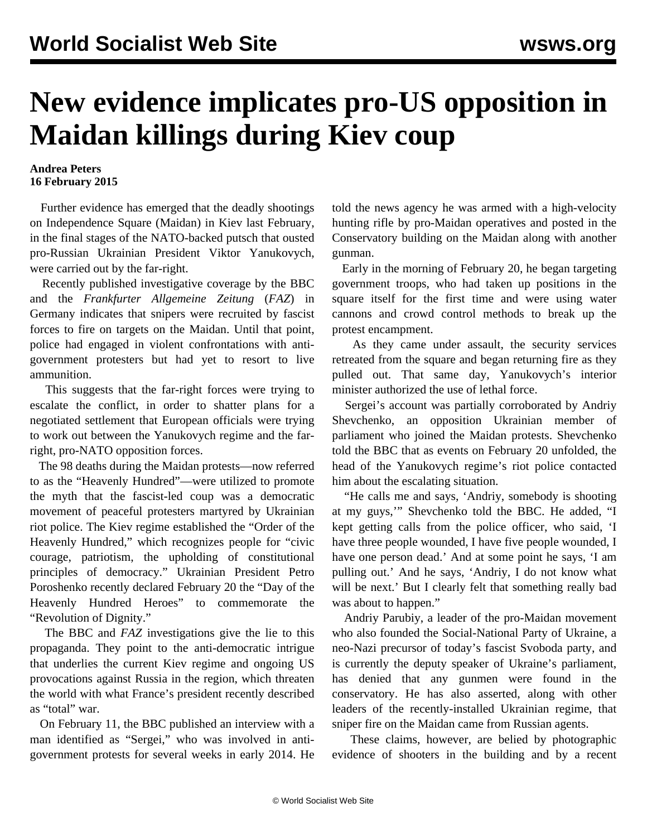## **New evidence implicates pro-US opposition in Maidan killings during Kiev coup**

## **Andrea Peters 16 February 2015**

 Further evidence has emerged that the deadly shootings on Independence Square (Maidan) in Kiev last February, in the final stages of the NATO-backed putsch that ousted pro-Russian Ukrainian President Viktor Yanukovych, were carried out by the far-right.

 Recently published investigative coverage by the BBC and the *Frankfurter Allgemeine Zeitung* (*FAZ*) in Germany indicates that snipers were recruited by fascist forces to fire on targets on the Maidan. Until that point, police had engaged in violent confrontations with antigovernment protesters but had yet to resort to live ammunition.

 This suggests that the far-right forces were trying to escalate the conflict, in order to shatter plans for a negotiated settlement that European officials were trying to work out between the Yanukovych regime and the farright, pro-NATO opposition forces.

 The 98 deaths during the Maidan protests—now referred to as the "Heavenly Hundred"—were utilized to promote the myth that the fascist-led coup was a democratic movement of peaceful protesters martyred by Ukrainian riot police. The Kiev regime established the "Order of the Heavenly Hundred," which recognizes people for "civic courage, patriotism, the upholding of constitutional principles of democracy." Ukrainian President Petro Poroshenko recently declared February 20 the "Day of the Heavenly Hundred Heroes" to commemorate the "Revolution of Dignity."

 The BBC and *FAZ* investigations give the lie to this propaganda. They point to the anti-democratic intrigue that underlies the current Kiev regime and ongoing US provocations against Russia in the region, which threaten the world with what France's president recently described as "total" war.

 On February 11, the BBC published an interview with a man identified as "Sergei," who was involved in antigovernment protests for several weeks in early 2014. He

told the news agency he was armed with a high-velocity hunting rifle by pro-Maidan operatives and posted in the Conservatory building on the Maidan along with another gunman.

 Early in the morning of February 20, he began targeting government troops, who had taken up positions in the square itself for the first time and were using water cannons and crowd control methods to break up the protest encampment.

 As they came under assault, the security services retreated from the square and began returning fire as they pulled out. That same day, Yanukovych's interior minister authorized the use of lethal force.

 Sergei's account was partially corroborated by Andriy Shevchenko, an opposition Ukrainian member of parliament who joined the Maidan protests. Shevchenko told the BBC that as events on February 20 unfolded, the head of the Yanukovych regime's riot police contacted him about the escalating situation.

 "He calls me and says, 'Andriy, somebody is shooting at my guys,'" Shevchenko told the BBC. He added, "I kept getting calls from the police officer, who said, 'I have three people wounded, I have five people wounded, I have one person dead.' And at some point he says, 'I am pulling out.' And he says, 'Andriy, I do not know what will be next.' But I clearly felt that something really bad was about to happen."

 Andriy Parubiy, a leader of the pro-Maidan movement who also founded the Social-National Party of Ukraine, a neo-Nazi precursor of today's fascist Svoboda party, and is currently the deputy speaker of Ukraine's parliament, has denied that any gunmen were found in the conservatory. He has also asserted, along with other leaders of the recently-installed Ukrainian regime, that sniper fire on the Maidan came from Russian agents.

 These claims, however, are belied by photographic evidence of shooters in the building and by a recent